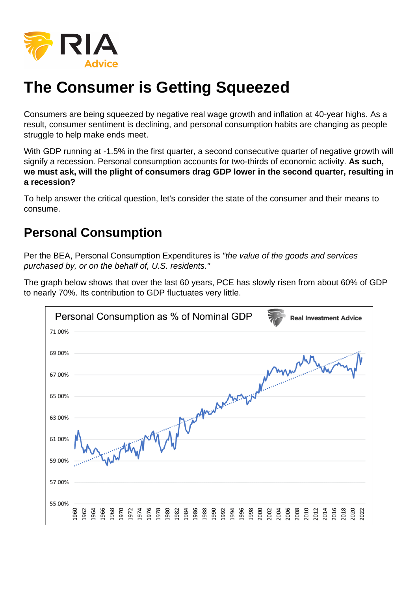# The Consumer is Getting Squeezed

Consumers are being squeezed by negative real wage growth and inflation at 40-year highs. As a result, consumer sentiment is declining, and personal consumption habits are changing as people struggle to help make ends meet.

With GDP running at -1.5% in the first quarter, a second consecutive quarter of negative growth will signify a recession. Personal consumption accounts for two-thirds of economic activity. As such, we must ask, will the plight of consumers drag GDP lower in the second quarter, resulting in a recession?

To help answer the critical question, let's consider the state of the consumer and their means to consume.

#### Personal Consumption

Per the BEA, Personal Consumption Expenditures is "the value of the goods and services purchased by, or on the behalf of, U.S. residents."

The graph below shows that over the last 60 years, PCE has slowly risen from about 60% of GDP to nearly 70%. Its contribution to GDP fluctuates very little.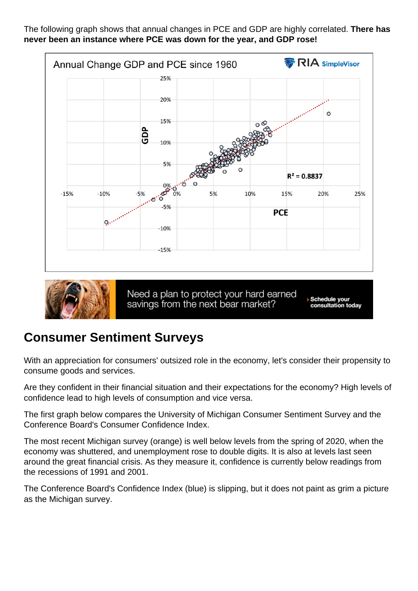The following graph shows that annual changes in PCE and GDP are highly correlated. There has never been an instance where PCE was down for the year, and GDP rose!

#### Consumer Sentiment Surveys

With an appreciation for consumers' outsized role in the economy, let's consider their propensity to consume goods and services.

Are they confident in their financial situation and their expectations for the economy? High levels of confidence lead to high levels of consumption and vice versa.

The first graph below compares the University of Michigan Consumer Sentiment Survey and the Conference Board's Consumer Confidence Index.

The most recent Michigan survey (orange) is well below levels from the spring of 2020, when the economy was shuttered, and unemployment rose to double digits. It is also at levels last seen around the great financial crisis. As they measure it, confidence is currently below readings from the recessions of 1991 and 2001.

The Conference Board's Confidence Index (blue) is slipping, but it does not paint as grim a picture as the Michigan survey.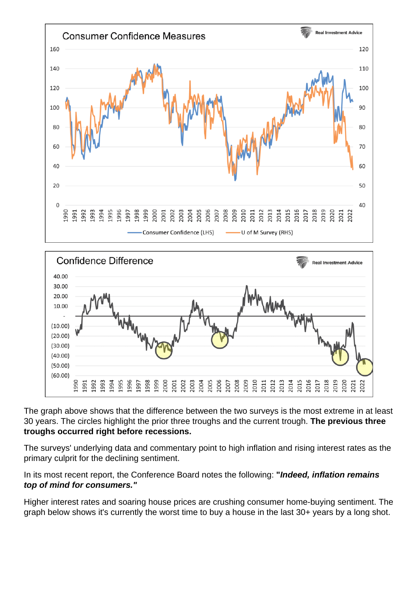The graph above shows that the difference between the two surveys is the most extreme in at least 30 years. The circles highlight the prior three troughs and the current trough. The previous three troughs occurred right before recessions.

The surveys' underlying data and commentary point to high inflation and rising interest rates as the primary culprit for the declining sentiment.

In its most recent report, the Conference Board notes the following: "Indeed, inflation remains top of mind for consumers."

Higher interest rates and soaring house prices are crushing consumer home-buying sentiment. The graph below shows it's currently the worst time to buy a house in the last 30+ years by a long shot.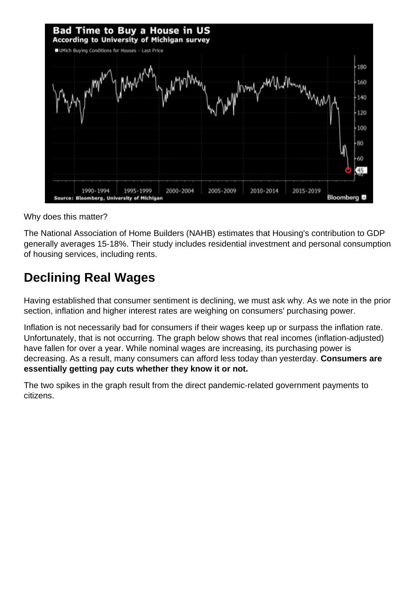Why does this matter?

The National Association of Home Builders (NAHB) estimates that Housing's contribution to GDP generally averages 15-18%. Their study includes residential investment and personal consumption of housing services, including rents.

## Declining Real Wages

Having established that consumer sentiment is declining, we must ask why. As we note in the prior section, inflation and higher interest rates are weighing on consumers' purchasing power.

Inflation is not necessarily bad for consumers if their wages keep up or surpass the inflation rate. Unfortunately, that is not occurring. The graph below shows that real incomes (inflation-adjusted) have fallen for over a year. While nominal wages are increasing, its purchasing power is decreasing. As a result, many consumers can afford less today than yesterday. Consumers are essentially getting pay cuts whether they know it or not.

The two spikes in the graph result from the direct pandemic-related government payments to citizens.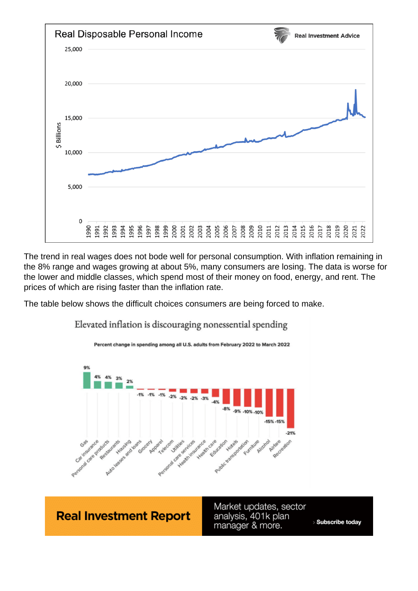The trend in real wages does not bode well for personal consumption. With inflation remaining in the 8% range and wages growing at about 5%, many consumers are losing. The data is worse for the lower and middle classes, which spend most of their money on food, energy, and rent. The prices of which are rising faster than the inflation rate.

The table below shows the difficult choices consumers are being forced to make.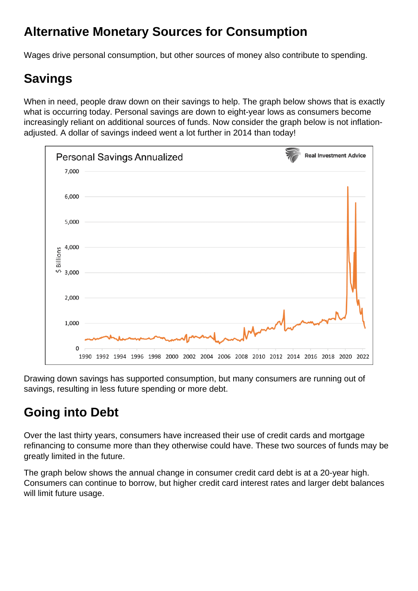## Alternative Monetary Sources for Consumption

Wages drive personal consumption, but other sources of money also contribute to spending.

# Savings

When in need, people draw down on their savings to help. The graph below shows that is exactly what is occurring today. Personal savings are down to eight-year lows as consumers become increasingly reliant on additional sources of funds. Now consider the graph below is not inflationadjusted. A dollar of savings indeed went a lot further in 2014 than today!

Drawing down savings has supported consumption, but many consumers are running out of savings, resulting in less future spending or more debt.

# Going into Debt

Over the last thirty years, consumers have increased their use of credit cards and mortgage refinancing to consume more than they otherwise could have. These two sources of funds may be greatly limited in the future.

The graph below shows the annual change in consumer credit card debt is at a 20-year high. Consumers can continue to borrow, but higher credit card interest rates and larger debt balances will limit future usage.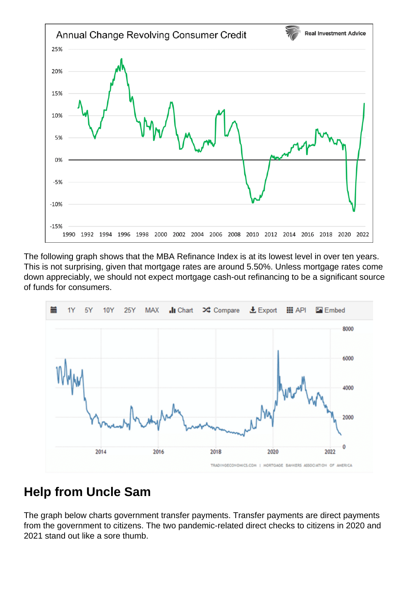The following graph shows that the MBA Refinance Index is at its lowest level in over ten years. This is not surprising, given that mortgage rates are around 5.50%. Unless mortgage rates come down appreciably, we should not expect mortgage cash-out refinancing to be a significant source of funds for consumers.

#### Help from Uncle Sam

The graph below charts government transfer payments. Transfer payments are direct payments from the government to citizens. The two pandemic-related direct checks to citizens in 2020 and 2021 stand out like a sore thumb.